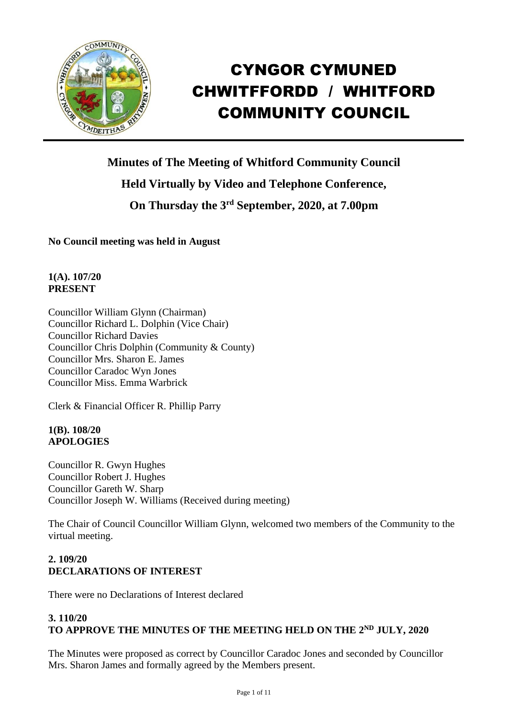

# CYNGOR CYMUNED CHWITFFORDD / WHITFORD COMMUNITY COUNCIL

**Minutes of The Meeting of Whitford Community Council Held Virtually by Video and Telephone Conference, On Thursday the 3 rd September, 2020, at 7.00pm**

**No Council meeting was held in August**

**1(A). 107/20 PRESENT**

Councillor William Glynn (Chairman) Councillor Richard L. Dolphin (Vice Chair) Councillor Richard Davies Councillor Chris Dolphin (Community & County) Councillor Mrs. Sharon E. James Councillor Caradoc Wyn Jones Councillor Miss. Emma Warbrick

Clerk & Financial Officer R. Phillip Parry

# **1(B). 108/20 APOLOGIES**

Councillor R. Gwyn Hughes Councillor Robert J. Hughes Councillor Gareth W. Sharp Councillor Joseph W. Williams (Received during meeting)

The Chair of Council Councillor William Glynn, welcomed two members of the Community to the virtual meeting.

# **2. 109/20 DECLARATIONS OF INTEREST**

There were no Declarations of Interest declared

## **3. 110/20 TO APPROVE THE MINUTES OF THE MEETING HELD ON THE 2 ND JULY, 2020**

The Minutes were proposed as correct by Councillor Caradoc Jones and seconded by Councillor Mrs. Sharon James and formally agreed by the Members present.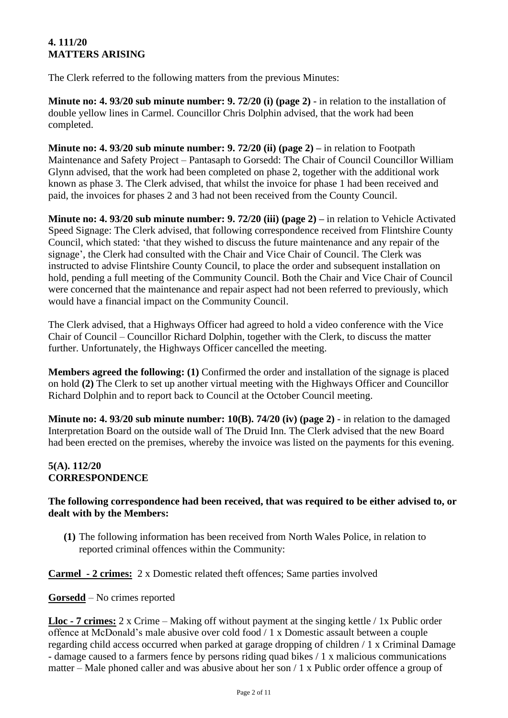# **4. 111/20 MATTERS ARISING**

The Clerk referred to the following matters from the previous Minutes:

**Minute no: 4. 93/20 sub minute number: 9. 72/20 (i) (page 2)** - in relation to the installation of double yellow lines in Carmel. Councillor Chris Dolphin advised, that the work had been completed.

**Minute no: 4. 93/20 sub minute number: 9. 72/20 (ii) (page 2) –** in relation to Footpath Maintenance and Safety Project – Pantasaph to Gorsedd: The Chair of Council Councillor William Glynn advised, that the work had been completed on phase 2, together with the additional work known as phase 3. The Clerk advised, that whilst the invoice for phase 1 had been received and paid, the invoices for phases 2 and 3 had not been received from the County Council.

**Minute no: 4. 93/20 sub minute number: 9. 72/20 (iii) (page 2) –** in relation to Vehicle Activated Speed Signage: The Clerk advised, that following correspondence received from Flintshire County Council, which stated: 'that they wished to discuss the future maintenance and any repair of the signage', the Clerk had consulted with the Chair and Vice Chair of Council. The Clerk was instructed to advise Flintshire County Council, to place the order and subsequent installation on hold, pending a full meeting of the Community Council. Both the Chair and Vice Chair of Council were concerned that the maintenance and repair aspect had not been referred to previously, which would have a financial impact on the Community Council.

The Clerk advised, that a Highways Officer had agreed to hold a video conference with the Vice Chair of Council – Councillor Richard Dolphin, together with the Clerk, to discuss the matter further. Unfortunately, the Highways Officer cancelled the meeting.

**Members agreed the following: (1)** Confirmed the order and installation of the signage is placed on hold **(2)** The Clerk to set up another virtual meeting with the Highways Officer and Councillor Richard Dolphin and to report back to Council at the October Council meeting.

**Minute no: 4. 93/20 sub minute number: 10(B). 74/20 (iv) (page 2)** - in relation to the damaged Interpretation Board on the outside wall of The Druid Inn. The Clerk advised that the new Board had been erected on the premises, whereby the invoice was listed on the payments for this evening.

# **5(A). 112/20 CORRESPONDENCE**

# **The following correspondence had been received, that was required to be either advised to, or dealt with by the Members:**

**(1)** The following information has been received from North Wales Police, in relation to reported criminal offences within the Community:

**Carmel - 2 crimes:** 2 x Domestic related theft offences; Same parties involved

**Gorsedd** – No crimes reported

**Lloc - 7 crimes:** 2 x Crime – Making off without payment at the singing kettle / 1x Public order offence at McDonald's male abusive over cold food / 1 x Domestic assault between a couple regarding child access occurred when parked at garage dropping of children / 1 x Criminal Damage - damage caused to a farmers fence by persons riding quad bikes / 1 x malicious communications matter – Male phoned caller and was abusive about her son / 1 x Public order offence a group of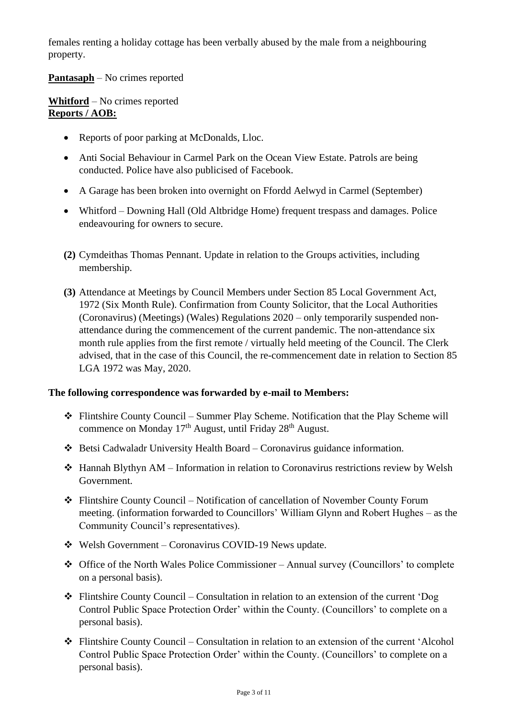females renting a holiday cottage has been verbally abused by the male from a neighbouring property.

# **Pantasaph** – No crimes reported

**Whitford** – No crimes reported **Reports / AOB:**

- Reports of poor parking at McDonalds, Lloc.
- Anti Social Behaviour in Carmel Park on the Ocean View Estate. Patrols are being conducted. Police have also publicised of Facebook.
- A Garage has been broken into overnight on Ffordd Aelwyd in Carmel (September)
- Whitford Downing Hall (Old Altbridge Home) frequent trespass and damages. Police endeavouring for owners to secure.
- **(2)** Cymdeithas Thomas Pennant. Update in relation to the Groups activities, including membership.
- **(3)** Attendance at Meetings by Council Members under Section 85 Local Government Act, 1972 (Six Month Rule). Confirmation from County Solicitor, that the Local Authorities (Coronavirus) (Meetings) (Wales) Regulations 2020 – only temporarily suspended nonattendance during the commencement of the current pandemic. The non-attendance six month rule applies from the first remote / virtually held meeting of the Council. The Clerk advised, that in the case of this Council, the re-commencement date in relation to Section 85 LGA 1972 was May, 2020.

# **The following correspondence was forwarded by e-mail to Members:**

- ❖ Flintshire County Council Summer Play Scheme. Notification that the Play Scheme will commence on Monday 17<sup>th</sup> August, until Friday 28<sup>th</sup> August.
- ❖ Betsi Cadwaladr University Health Board Coronavirus guidance information.
- ❖ Hannah Blythyn AM Information in relation to Coronavirus restrictions review by Welsh Government.
- ❖ Flintshire County Council Notification of cancellation of November County Forum meeting. (information forwarded to Councillors' William Glynn and Robert Hughes – as the Community Council's representatives).
- ❖ Welsh Government Coronavirus COVID-19 News update.
- ❖ Office of the North Wales Police Commissioner Annual survey (Councillors' to complete on a personal basis).
- ❖ Flintshire County Council Consultation in relation to an extension of the current 'Dog Control Public Space Protection Order' within the County. (Councillors' to complete on a personal basis).
- $\div$  Flintshire County Council Consultation in relation to an extension of the current 'Alcohol Control Public Space Protection Order' within the County. (Councillors' to complete on a personal basis).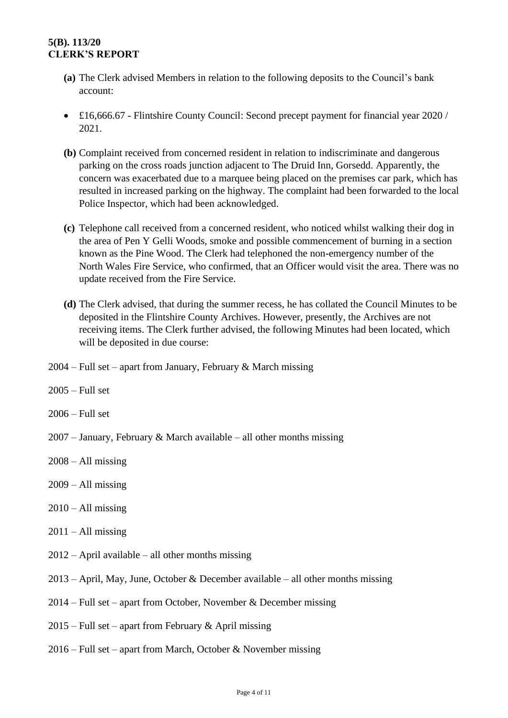# **5(B). 113/20 CLERK'S REPORT**

- **(a)** The Clerk advised Members in relation to the following deposits to the Council's bank account:
- £16,666.67 Flintshire County Council: Second precept payment for financial year 2020 / 2021.
- **(b)** Complaint received from concerned resident in relation to indiscriminate and dangerous parking on the cross roads junction adjacent to The Druid Inn, Gorsedd. Apparently, the concern was exacerbated due to a marquee being placed on the premises car park, which has resulted in increased parking on the highway. The complaint had been forwarded to the local Police Inspector, which had been acknowledged.
- **(c)** Telephone call received from a concerned resident, who noticed whilst walking their dog in the area of Pen Y Gelli Woods, smoke and possible commencement of burning in a section known as the Pine Wood. The Clerk had telephoned the non-emergency number of the North Wales Fire Service, who confirmed, that an Officer would visit the area. There was no update received from the Fire Service.
- **(d)** The Clerk advised, that during the summer recess, he has collated the Council Minutes to be deposited in the Flintshire County Archives. However, presently, the Archives are not receiving items. The Clerk further advised, the following Minutes had been located, which will be deposited in due course:
- $2004$  Full set apart from January, February & March missing
- 2005 Full set
- 2006 Full set
- $2007 -$  January, February & March available all other months missing
- $2008 All missing$
- $2009 All missing$
- $2010 All missing$
- $2011 All missing$
- 2012 April available all other months missing
- 2013 April, May, June, October & December available all other months missing
- 2014 Full set apart from October, November & December missing
- $2015$  Full set apart from February & April missing
- 2016 Full set apart from March, October & November missing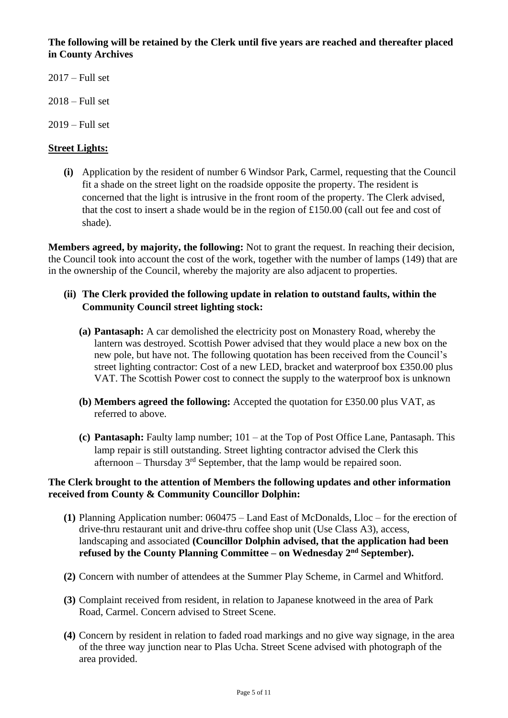**The following will be retained by the Clerk until five years are reached and thereafter placed in County Archives** 

- 2017 Full set
- $2018 Full set$
- 2019 Full set

## **Street Lights:**

**(i)** Application by the resident of number 6 Windsor Park, Carmel, requesting that the Council fit a shade on the street light on the roadside opposite the property. The resident is concerned that the light is intrusive in the front room of the property. The Clerk advised, that the cost to insert a shade would be in the region of £150.00 (call out fee and cost of shade).

**Members agreed, by majority, the following:** Not to grant the request. In reaching their decision, the Council took into account the cost of the work, together with the number of lamps (149) that are in the ownership of the Council, whereby the majority are also adjacent to properties.

## **(ii) The Clerk provided the following update in relation to outstand faults, within the Community Council street lighting stock:**

- **(a) Pantasaph:** A car demolished the electricity post on Monastery Road, whereby the lantern was destroyed. Scottish Power advised that they would place a new box on the new pole, but have not. The following quotation has been received from the Council's street lighting contractor: Cost of a new LED, bracket and waterproof box £350.00 plus VAT. The Scottish Power cost to connect the supply to the waterproof box is unknown
- **(b) Members agreed the following:** Accepted the quotation for £350.00 plus VAT, as referred to above.
- **(c) Pantasaph:** Faulty lamp number; 101 at the Top of Post Office Lane, Pantasaph. This lamp repair is still outstanding. Street lighting contractor advised the Clerk this afternoon – Thursday  $3<sup>rd</sup>$  September, that the lamp would be repaired soon.

#### **The Clerk brought to the attention of Members the following updates and other information received from County & Community Councillor Dolphin:**

- **(1)** Planning Application number: 060475 Land East of McDonalds, Lloc for the erection of drive-thru restaurant unit and drive-thru coffee shop unit (Use Class A3), access, landscaping and associated **(Councillor Dolphin advised, that the application had been refused by the County Planning Committee – on Wednesday 2 nd September).**
- **(2)** Concern with number of attendees at the Summer Play Scheme, in Carmel and Whitford.
- **(3)** Complaint received from resident, in relation to Japanese knotweed in the area of Park Road, Carmel. Concern advised to Street Scene.
- **(4)** Concern by resident in relation to faded road markings and no give way signage, in the area of the three way junction near to Plas Ucha. Street Scene advised with photograph of the area provided.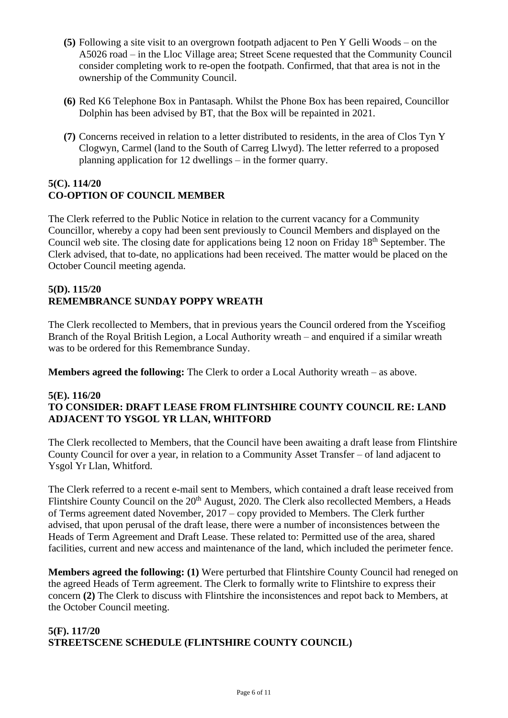- **(5)** Following a site visit to an overgrown footpath adjacent to Pen Y Gelli Woods on the A5026 road – in the Lloc Village area; Street Scene requested that the Community Council consider completing work to re-open the footpath. Confirmed, that that area is not in the ownership of the Community Council.
- **(6)** Red K6 Telephone Box in Pantasaph. Whilst the Phone Box has been repaired, Councillor Dolphin has been advised by BT, that the Box will be repainted in 2021.
- **(7)** Concerns received in relation to a letter distributed to residents, in the area of Clos Tyn Y Clogwyn, Carmel (land to the South of Carreg Llwyd). The letter referred to a proposed planning application for 12 dwellings – in the former quarry.

# **5(C). 114/20 CO-OPTION OF COUNCIL MEMBER**

The Clerk referred to the Public Notice in relation to the current vacancy for a Community Councillor, whereby a copy had been sent previously to Council Members and displayed on the Council web site. The closing date for applications being 12 noon on Friday 18th September. The Clerk advised, that to-date, no applications had been received. The matter would be placed on the October Council meeting agenda.

# **5(D). 115/20 REMEMBRANCE SUNDAY POPPY WREATH**

The Clerk recollected to Members, that in previous years the Council ordered from the Ysceifiog Branch of the Royal British Legion, a Local Authority wreath – and enquired if a similar wreath was to be ordered for this Remembrance Sunday.

**Members agreed the following:** The Clerk to order a Local Authority wreath – as above.

# **5(E). 116/20 TO CONSIDER: DRAFT LEASE FROM FLINTSHIRE COUNTY COUNCIL RE: LAND ADJACENT TO YSGOL YR LLAN, WHITFORD**

The Clerk recollected to Members, that the Council have been awaiting a draft lease from Flintshire County Council for over a year, in relation to a Community Asset Transfer – of land adjacent to Ysgol Yr Llan, Whitford.

The Clerk referred to a recent e-mail sent to Members, which contained a draft lease received from Flintshire County Council on the 20<sup>th</sup> August, 2020. The Clerk also recollected Members, a Heads of Terms agreement dated November, 2017 – copy provided to Members. The Clerk further advised, that upon perusal of the draft lease, there were a number of inconsistences between the Heads of Term Agreement and Draft Lease. These related to: Permitted use of the area, shared facilities, current and new access and maintenance of the land, which included the perimeter fence.

**Members agreed the following: (1)** Were perturbed that Flintshire County Council had reneged on the agreed Heads of Term agreement. The Clerk to formally write to Flintshire to express their concern **(2)** The Clerk to discuss with Flintshire the inconsistences and repot back to Members, at the October Council meeting.

# **5(F). 117/20 STREETSCENE SCHEDULE (FLINTSHIRE COUNTY COUNCIL)**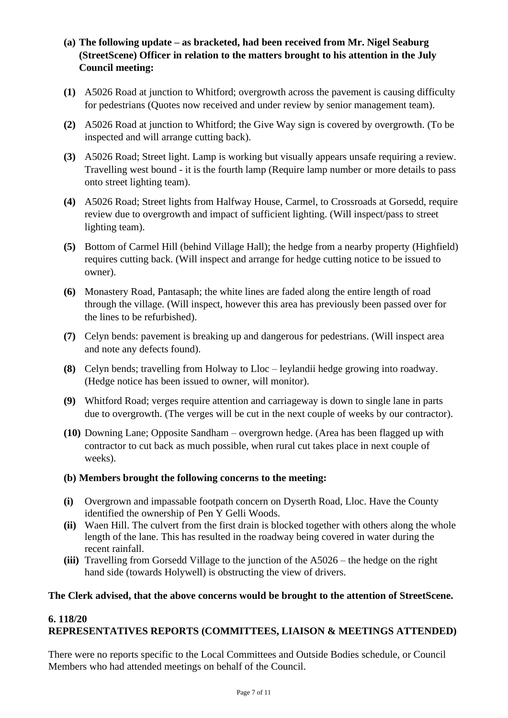- **(a) The following update – as bracketed, had been received from Mr. Nigel Seaburg (StreetScene) Officer in relation to the matters brought to his attention in the July Council meeting:**
- **(1)** A5026 Road at junction to Whitford; overgrowth across the pavement is causing difficulty for pedestrians (Quotes now received and under review by senior management team).
- **(2)** A5026 Road at junction to Whitford; the Give Way sign is covered by overgrowth. (To be inspected and will arrange cutting back).
- **(3)** A5026 Road; Street light. Lamp is working but visually appears unsafe requiring a review. Travelling west bound - it is the fourth lamp (Require lamp number or more details to pass onto street lighting team).
- **(4)** A5026 Road; Street lights from Halfway House, Carmel, to Crossroads at Gorsedd, require review due to overgrowth and impact of sufficient lighting. (Will inspect/pass to street lighting team).
- **(5)** Bottom of Carmel Hill (behind Village Hall); the hedge from a nearby property (Highfield) requires cutting back. (Will inspect and arrange for hedge cutting notice to be issued to owner).
- **(6)** Monastery Road, Pantasaph; the white lines are faded along the entire length of road through the village. (Will inspect, however this area has previously been passed over for the lines to be refurbished).
- **(7)** Celyn bends: pavement is breaking up and dangerous for pedestrians. (Will inspect area and note any defects found).
- **(8)** Celyn bends; travelling from Holway to Lloc leylandii hedge growing into roadway. (Hedge notice has been issued to owner, will monitor).
- **(9)** Whitford Road; verges require attention and carriageway is down to single lane in parts due to overgrowth. (The verges will be cut in the next couple of weeks by our contractor).
- **(10)** Downing Lane; Opposite Sandham overgrown hedge. (Area has been flagged up with contractor to cut back as much possible, when rural cut takes place in next couple of weeks).
- **(b) Members brought the following concerns to the meeting:**
- **(i)** Overgrown and impassable footpath concern on Dyserth Road, Lloc. Have the County identified the ownership of Pen Y Gelli Woods.
- **(ii)** Waen Hill. The culvert from the first drain is blocked together with others along the whole length of the lane. This has resulted in the roadway being covered in water during the recent rainfall.
- **(iii)** Travelling from Gorsedd Village to the junction of the A5026 the hedge on the right hand side (towards Holywell) is obstructing the view of drivers.

# **The Clerk advised, that the above concerns would be brought to the attention of StreetScene.**

#### **6. 118/20 REPRESENTATIVES REPORTS (COMMITTEES, LIAISON & MEETINGS ATTENDED)**

There were no reports specific to the Local Committees and Outside Bodies schedule, or Council Members who had attended meetings on behalf of the Council.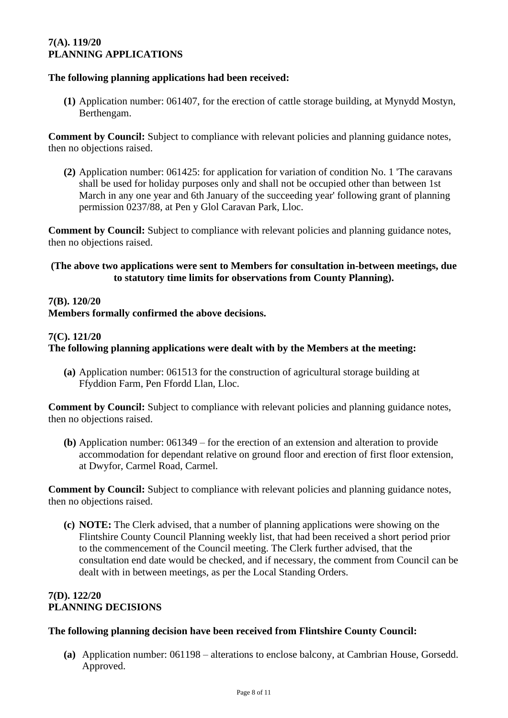## **7(A). 119/20 PLANNING APPLICATIONS**

## **The following planning applications had been received:**

**(1)** Application number: 061407, for the erection of cattle storage building, at Mynydd Mostyn, Berthengam.

**Comment by Council:** Subject to compliance with relevant policies and planning guidance notes, then no objections raised.

**(2)** Application number: 061425: for application for variation of condition No. 1 'The caravans shall be used for holiday purposes only and shall not be occupied other than between 1st March in any one year and 6th January of the succeeding year' following grant of planning permission 0237/88, at Pen y Glol Caravan Park, Lloc.

**Comment by Council:** Subject to compliance with relevant policies and planning guidance notes, then no objections raised.

## **(The above two applications were sent to Members for consultation in-between meetings, due to statutory time limits for observations from County Planning).**

#### **7(B). 120/20**

**Members formally confirmed the above decisions.**

#### **7(C). 121/20**

## **The following planning applications were dealt with by the Members at the meeting:**

**(a)** Application number: 061513 for the construction of agricultural storage building at Ffyddion Farm, Pen Ffordd Llan, Lloc.

**Comment by Council:** Subject to compliance with relevant policies and planning guidance notes, then no objections raised.

**(b)** Application number: 061349 – for the erection of an extension and alteration to provide accommodation for dependant relative on ground floor and erection of first floor extension, at Dwyfor, Carmel Road, Carmel.

**Comment by Council:** Subject to compliance with relevant policies and planning guidance notes, then no objections raised.

**(c) NOTE:** The Clerk advised, that a number of planning applications were showing on the Flintshire County Council Planning weekly list, that had been received a short period prior to the commencement of the Council meeting. The Clerk further advised, that the consultation end date would be checked, and if necessary, the comment from Council can be dealt with in between meetings, as per the Local Standing Orders.

## **7(D). 122/20 PLANNING DECISIONS**

#### **The following planning decision have been received from Flintshire County Council:**

**(a)** Application number: 061198 – alterations to enclose balcony, at Cambrian House, Gorsedd. Approved.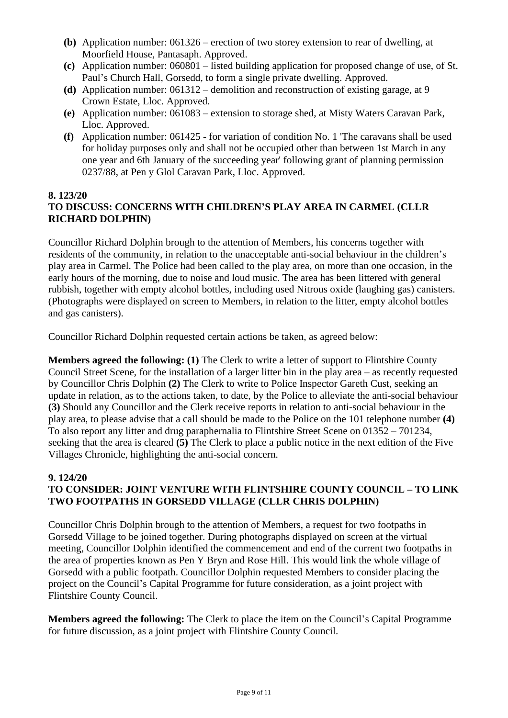- **(b)** Application number: 061326 erection of two storey extension to rear of dwelling, at Moorfield House, Pantasaph. Approved.
- **(c)** Application number: 060801 listed building application for proposed change of use, of St. Paul's Church Hall, Gorsedd, to form a single private dwelling. Approved.
- **(d)** Application number: 061312 demolition and reconstruction of existing garage, at 9 Crown Estate, Lloc. Approved.
- **(e)** Application number: 061083 extension to storage shed, at Misty Waters Caravan Park, Lloc. Approved.
- **(f)** Application number: 061425 **-** for variation of condition No. 1 'The caravans shall be used for holiday purposes only and shall not be occupied other than between 1st March in any one year and 6th January of the succeeding year' following grant of planning permission 0237/88, at Pen y Glol Caravan Park, Lloc. Approved.

# **8. 123/20**

# **TO DISCUSS: CONCERNS WITH CHILDREN'S PLAY AREA IN CARMEL (CLLR RICHARD DOLPHIN)**

Councillor Richard Dolphin brough to the attention of Members, his concerns together with residents of the community, in relation to the unacceptable anti-social behaviour in the children's play area in Carmel. The Police had been called to the play area, on more than one occasion, in the early hours of the morning, due to noise and loud music. The area has been littered with general rubbish, together with empty alcohol bottles, including used Nitrous oxide (laughing gas) canisters. (Photographs were displayed on screen to Members, in relation to the litter, empty alcohol bottles and gas canisters).

Councillor Richard Dolphin requested certain actions be taken, as agreed below:

**Members agreed the following: (1)** The Clerk to write a letter of support to Flintshire County Council Street Scene, for the installation of a larger litter bin in the play area – as recently requested by Councillor Chris Dolphin **(2)** The Clerk to write to Police Inspector Gareth Cust, seeking an update in relation, as to the actions taken, to date, by the Police to alleviate the anti-social behaviour **(3)** Should any Councillor and the Clerk receive reports in relation to anti-social behaviour in the play area, to please advise that a call should be made to the Police on the 101 telephone number **(4)** To also report any litter and drug paraphernalia to Flintshire Street Scene on 01352 – 701234, seeking that the area is cleared **(5)** The Clerk to place a public notice in the next edition of the Five Villages Chronicle, highlighting the anti-social concern.

#### **9. 124/20 TO CONSIDER: JOINT VENTURE WITH FLINTSHIRE COUNTY COUNCIL – TO LINK TWO FOOTPATHS IN GORSEDD VILLAGE (CLLR CHRIS DOLPHIN)**

Councillor Chris Dolphin brough to the attention of Members, a request for two footpaths in Gorsedd Village to be joined together. During photographs displayed on screen at the virtual meeting, Councillor Dolphin identified the commencement and end of the current two footpaths in the area of properties known as Pen Y Bryn and Rose Hill. This would link the whole village of Gorsedd with a public footpath. Councillor Dolphin requested Members to consider placing the project on the Council's Capital Programme for future consideration, as a joint project with Flintshire County Council.

**Members agreed the following:** The Clerk to place the item on the Council's Capital Programme for future discussion, as a joint project with Flintshire County Council.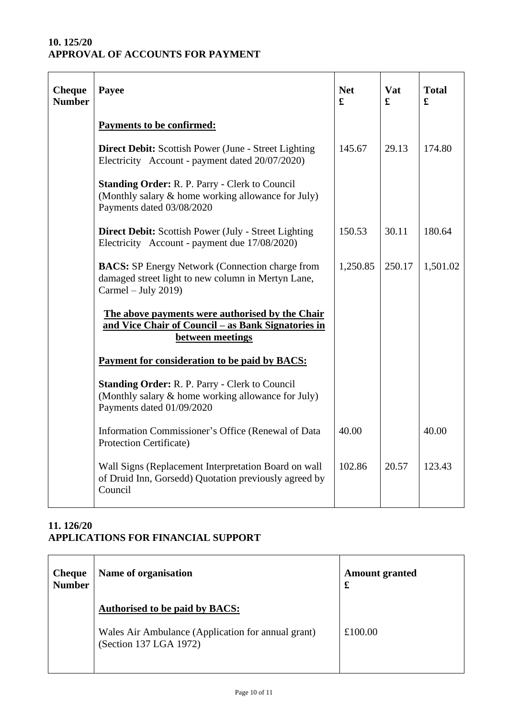# **10. 125/20 APPROVAL OF ACCOUNTS FOR PAYMENT**

| <b>Cheque</b><br><b>Number</b> | Payee                                                                                                                                    | <b>Net</b><br>£ | Vat<br>£ | <b>Total</b><br>£ |
|--------------------------------|------------------------------------------------------------------------------------------------------------------------------------------|-----------------|----------|-------------------|
|                                | <b>Payments to be confirmed:</b>                                                                                                         |                 |          |                   |
|                                | <b>Direct Debit:</b> Scottish Power (June - Street Lighting)<br>Electricity Account - payment dated 20/07/2020)                          | 145.67          | 29.13    | 174.80            |
|                                | <b>Standing Order: R. P. Parry - Clerk to Council</b><br>(Monthly salary & home working allowance for July)<br>Payments dated 03/08/2020 |                 |          |                   |
|                                | <b>Direct Debit:</b> Scottish Power (July - Street Lighting<br>Electricity Account - payment due 17/08/2020)                             | 150.53          | 30.11    | 180.64            |
|                                | <b>BACS:</b> SP Energy Network (Connection charge from<br>damaged street light to new column in Mertyn Lane,<br>Carmel – July 2019)      | 1,250.85        | 250.17   | 1,501.02          |
|                                | The above payments were authorised by the Chair<br>and Vice Chair of Council - as Bank Signatories in<br>between meetings                |                 |          |                   |
|                                | Payment for consideration to be paid by BACS:                                                                                            |                 |          |                   |
|                                | <b>Standing Order: R. P. Parry - Clerk to Council</b><br>(Monthly salary & home working allowance for July)<br>Payments dated 01/09/2020 |                 |          |                   |
|                                | Information Commissioner's Office (Renewal of Data<br>Protection Certificate)                                                            | 40.00           |          | 40.00             |
|                                | Wall Signs (Replacement Interpretation Board on wall<br>of Druid Inn, Gorsedd) Quotation previously agreed by<br>Council                 | 102.86          | 20.57    | 123.43            |

# **11. 126/20 APPLICATIONS FOR FINANCIAL SUPPORT**

| <b>Cheque</b><br><b>Number</b> | Name of organisation                                                                                                  | <b>Amount granted</b><br>£ |  |
|--------------------------------|-----------------------------------------------------------------------------------------------------------------------|----------------------------|--|
|                                | <b>Authorised to be paid by BACS:</b><br>Wales Air Ambulance (Application for annual grant)<br>(Section 137 LGA 1972) | £100.00                    |  |